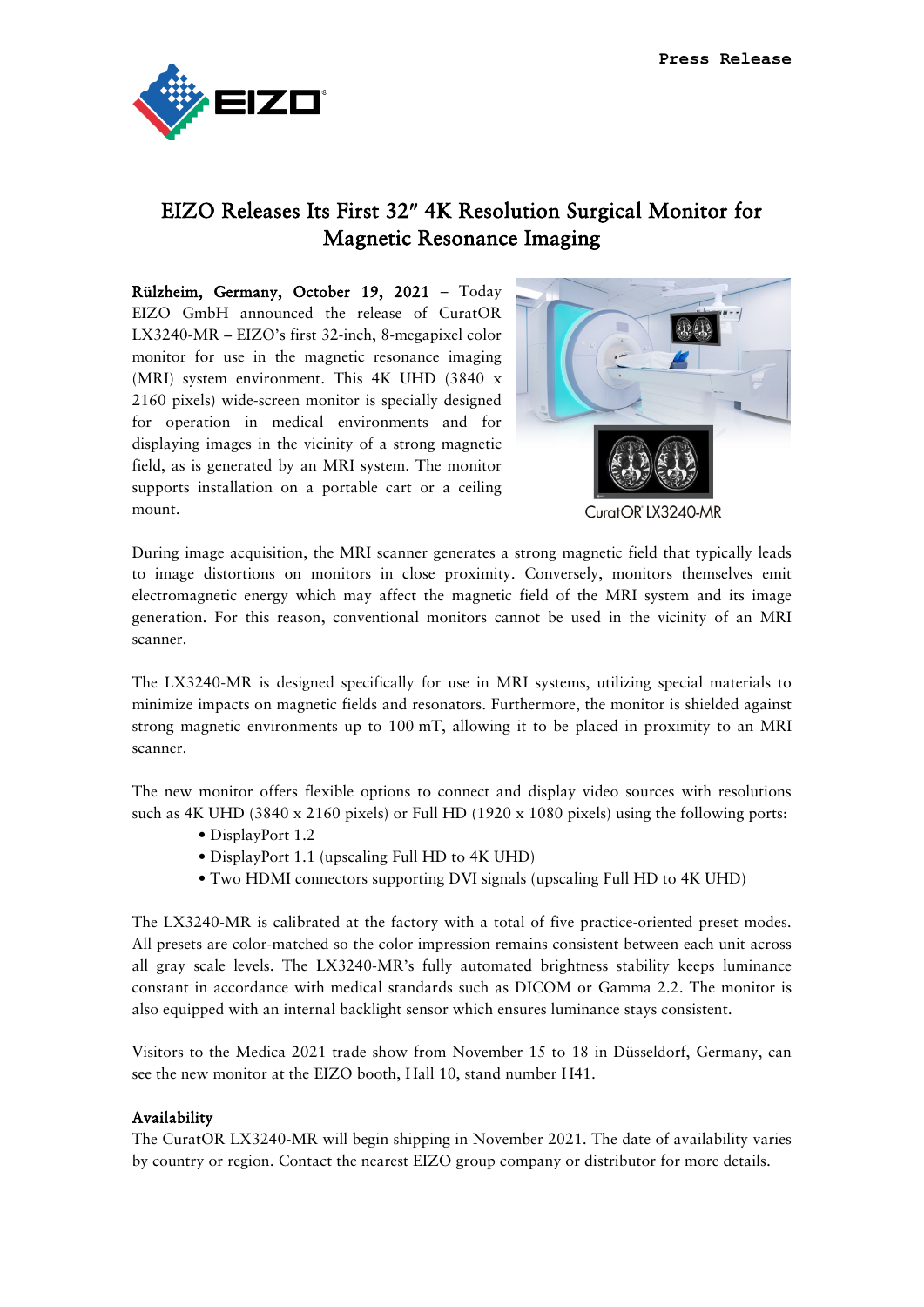

## EIZO Releases Its First 32″ 4K Resolution Surgical Monitor for Magnetic Resonance Imaging

Rülzheim, Germany, October 19, 2021 – Today EIZO GmbH announced the release of CuratOR LX3240-MR – EIZO's first 32-inch, 8-megapixel color monitor for use in the magnetic resonance imaging (MRI) system environment. This 4K UHD (3840 x 2160 pixels) wide-screen monitor is specially designed for operation in medical environments and for displaying images in the vicinity of a strong magnetic field, as is generated by an MRI system. The monitor supports installation on a portable cart or a ceiling mount.



During image acquisition, the MRI scanner generates a strong magnetic field that typically leads to image distortions on monitors in close proximity. Conversely, monitors themselves emit electromagnetic energy which may affect the magnetic field of the MRI system and its image generation. For this reason, conventional monitors cannot be used in the vicinity of an MRI scanner.

The LX3240-MR is designed specifically for use in MRI systems, utilizing special materials to minimize impacts on magnetic fields and resonators. Furthermore, the monitor is shielded against strong magnetic environments up to 100 mT, allowing it to be placed in proximity to an MRI scanner.

The new monitor offers flexible options to connect and display video sources with resolutions such as 4K UHD (3840 x 2160 pixels) or Full HD (1920 x 1080 pixels) using the following ports:

- DisplayPort 1.2
- DisplayPort 1.1 (upscaling Full HD to 4K UHD)
- Two HDMI connectors supporting DVI signals (upscaling Full HD to 4K UHD)

The LX3240-MR is calibrated at the factory with a total of five practice-oriented preset modes. All presets are color-matched so the color impression remains consistent between each unit across all gray scale levels. The LX3240-MR's fully automated brightness stability keeps luminance constant in accordance with medical standards such as DICOM or Gamma 2.2. The monitor is also equipped with an internal backlight sensor which ensures luminance stays consistent.

Visitors to the Medica 2021 trade show from November 15 to 18 in Düsseldorf, Germany, can see the new monitor at the EIZO booth, Hall 10, stand number H41.

## Availability

The CuratOR LX3240-MR will begin shipping in November 2021. The date of availability varies by country or region. Contact the nearest EIZO group company or distributor for more details.